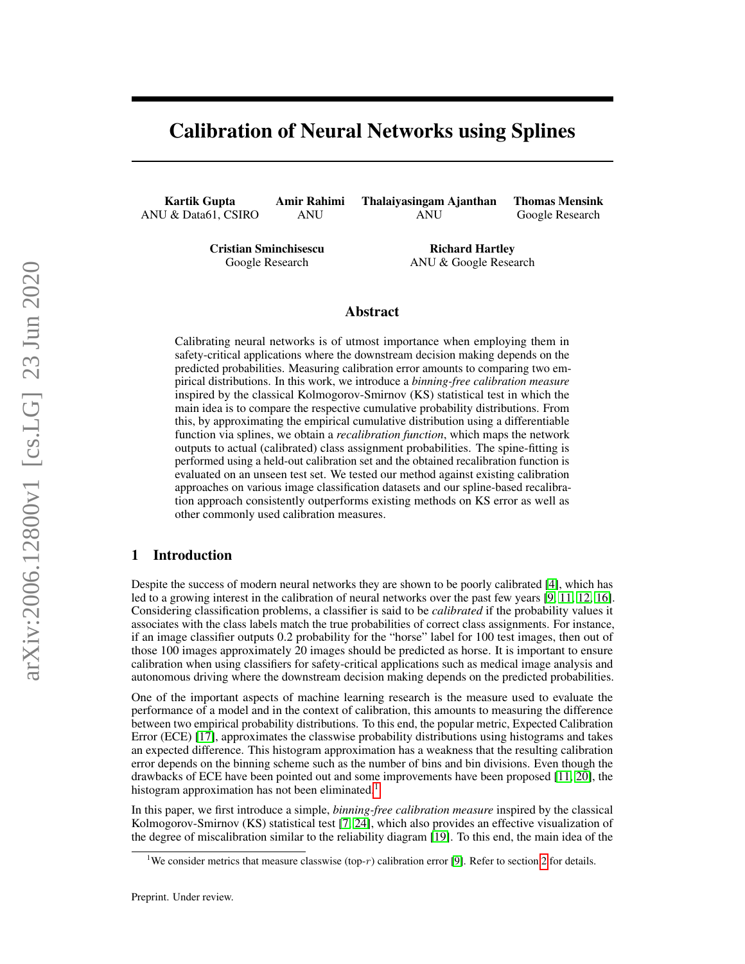## Calibration of Neural Networks using Splines

Kartik Gupta ANU & Data61, CSIRO

Amir Rahimi ANU

Thalaiyasingam Ajanthan ANU

Thomas Mensink Google Research

Cristian Sminchisescu Google Research

Richard Hartley ANU & Google Research

## Abstract

Calibrating neural networks is of utmost importance when employing them in safety-critical applications where the downstream decision making depends on the predicted probabilities. Measuring calibration error amounts to comparing two empirical distributions. In this work, we introduce a *binning-free calibration measure* inspired by the classical Kolmogorov-Smirnov (KS) statistical test in which the main idea is to compare the respective cumulative probability distributions. From this, by approximating the empirical cumulative distribution using a differentiable function via splines, we obtain a *recalibration function*, which maps the network outputs to actual (calibrated) class assignment probabilities. The spine-fitting is performed using a held-out calibration set and the obtained recalibration function is evaluated on an unseen test set. We tested our method against existing calibration approaches on various image classification datasets and our spline-based recalibration approach consistently outperforms existing methods on KS error as well as other commonly used calibration measures.

## 1 Introduction

Despite the success of modern neural networks they are shown to be poorly calibrated [\[4\]](#page-15-0), which has led to a growing interest in the calibration of neural networks over the past few years [\[9,](#page-15-1) [11,](#page-15-2) [12,](#page-15-3) [16\]](#page-16-0). Considering classification problems, a classifier is said to be *calibrated* if the probability values it associates with the class labels match the true probabilities of correct class assignments. For instance, if an image classifier outputs 0.2 probability for the "horse" label for 100 test images, then out of those 100 images approximately 20 images should be predicted as horse. It is important to ensure calibration when using classifiers for safety-critical applications such as medical image analysis and autonomous driving where the downstream decision making depends on the predicted probabilities.

One of the important aspects of machine learning research is the measure used to evaluate the performance of a model and in the context of calibration, this amounts to measuring the difference between two empirical probability distributions. To this end, the popular metric, Expected Calibration Error (ECE) [\[17\]](#page-16-1), approximates the classwise probability distributions using histograms and takes an expected difference. This histogram approximation has a weakness that the resulting calibration error depends on the binning scheme such as the number of bins and bin divisions. Even though the drawbacks of ECE have been pointed out and some improvements have been proposed [\[11,](#page-15-2) [20\]](#page-16-2), the histogram approximation has not been eliminated.<sup>[1](#page-0-0)</sup>

In this paper, we first introduce a simple, *binning-free calibration measure* inspired by the classical Kolmogorov-Smirnov (KS) statistical test [\[7,](#page-15-4) [24\]](#page-16-3), which also provides an effective visualization of the degree of miscalibration similar to the reliability diagram [\[19\]](#page-16-4). To this end, the main idea of the

<span id="page-0-0"></span><sup>&</sup>lt;sup>1</sup>We consider metrics that measure classwise (top-r) calibration error [\[9\]](#page-15-1). Refer to section [2](#page-1-0) for details.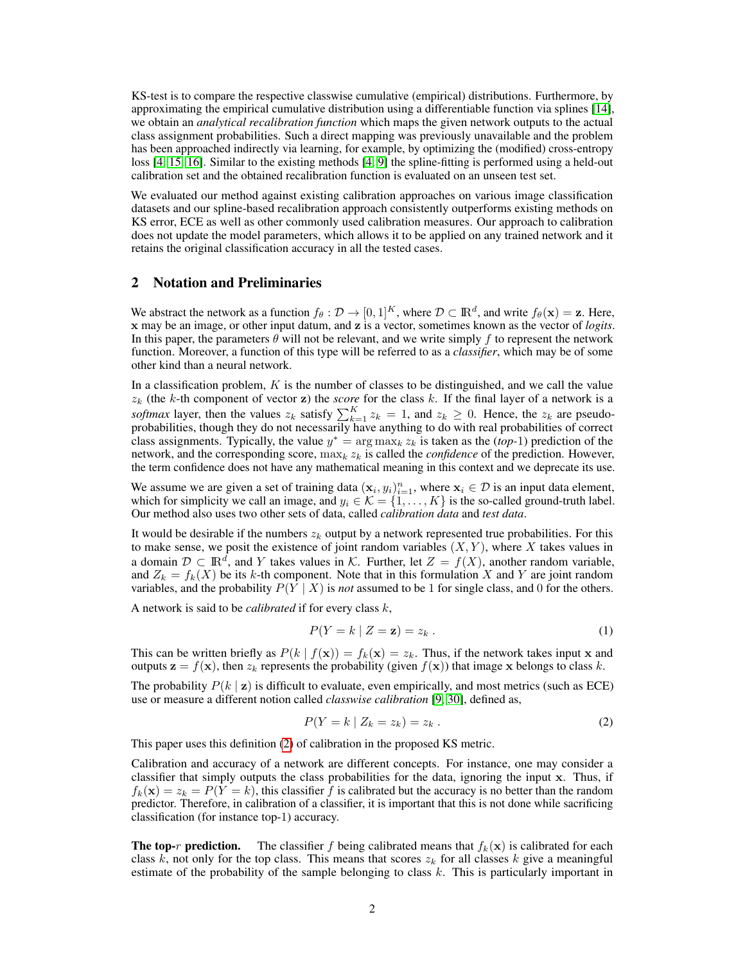KS-test is to compare the respective classwise cumulative (empirical) distributions. Furthermore, by approximating the empirical cumulative distribution using a differentiable function via splines [\[14\]](#page-16-5), we obtain an *analytical recalibration function* which maps the given network outputs to the actual class assignment probabilities. Such a direct mapping was previously unavailable and the problem has been approached indirectly via learning, for example, by optimizing the (modified) cross-entropy loss [\[4,](#page-15-0) [15,](#page-16-6) [16\]](#page-16-0). Similar to the existing methods [\[4,](#page-15-0) [9\]](#page-15-1) the spline-fitting is performed using a held-out calibration set and the obtained recalibration function is evaluated on an unseen test set.

We evaluated our method against existing calibration approaches on various image classification datasets and our spline-based recalibration approach consistently outperforms existing methods on KS error, ECE as well as other commonly used calibration measures. Our approach to calibration does not update the model parameters, which allows it to be applied on any trained network and it retains the original classification accuracy in all the tested cases.

#### <span id="page-1-0"></span>2 Notation and Preliminaries

We abstract the network as a function  $f_{\theta}: \mathcal{D} \to [0,1]^K$ , where  $\mathcal{D} \subset \mathbb{R}^d$ , and write  $f_{\theta}(\mathbf{x}) = \mathbf{z}$ . Here, x may be an image, or other input datum, and z is a vector, sometimes known as the vector of *logits*. In this paper, the parameters  $\theta$  will not be relevant, and we write simply f to represent the network function. Moreover, a function of this type will be referred to as a *classifier*, which may be of some other kind than a neural network.

In a classification problem,  $K$  is the number of classes to be distinguished, and we call the value  $z_k$  (the k-th component of vector z) the *score* for the class k. If the final layer of a network is a *softmax* layer, then the values  $z_k$  satisfy  $\sum_{k=1}^{K} z_k = 1$ , and  $z_k \ge 0$ . Hence, the  $z_k$  are pseudoprobabilities, though they do not necessarily have anything to do with real probabilities of correct class assignments. Typically, the value  $y^* = \arg \max_k z_k$  is taken as the *(top-1)* prediction of the network, and the corresponding score,  $\max_k z_k$  is called the *confidence* of the prediction. However, the term confidence does not have any mathematical meaning in this context and we deprecate its use.

We assume we are given a set of training data  $(\mathbf{x}_i, y_i)_{i=1}^n$ , where  $\mathbf{x}_i \in \mathcal{D}$  is an input data element, which for simplicity we call an image, and  $y_i \in \mathcal{K} = \{1, \ldots, K\}$  is the so-called ground-truth label. Our method also uses two other sets of data, called *calibration data* and *test data*.

It would be desirable if the numbers  $z_k$  output by a network represented true probabilities. For this to make sense, we posit the existence of joint random variables  $(X, Y)$ , where X takes values in a domain  $\mathcal{D} \subset \mathbb{R}^d$ , and Y takes values in K. Further, let  $Z = f(X)$ , another random variable, and  $Z_k = f_k(X)$  be its k-th component. Note that in this formulation X and Y are joint random variables, and the probability  $P(Y | X)$  is *not* assumed to be 1 for single class, and 0 for the others.

A network is said to be *calibrated* if for every class k,

$$
P(Y = k | Z = \mathbf{z}) = z_k.
$$
\n<sup>(1)</sup>

This can be written briefly as  $P(k | f(\mathbf{x})) = f_k(\mathbf{x}) = z_k$ . Thus, if the network takes input x and outputs  $z = f(x)$ , then  $z_k$  represents the probability (given  $f(x)$ ) that image x belongs to class k.

The probability  $P(k | z)$  is difficult to evaluate, even empirically, and most metrics (such as ECE) use or measure a different notion called *classwise calibration* [\[9,](#page-15-1) [30\]](#page-16-7), defined as,

<span id="page-1-1"></span>
$$
P(Y = k \mid Z_k = z_k) = z_k. \tag{2}
$$

This paper uses this definition [\(2\)](#page-1-1) of calibration in the proposed KS metric.

Calibration and accuracy of a network are different concepts. For instance, one may consider a classifier that simply outputs the class probabilities for the data, ignoring the input x. Thus, if  $f_k(\mathbf{x}) = z_k = P(Y = k)$ , this classifier f is calibrated but the accuracy is no better than the random predictor. Therefore, in calibration of a classifier, it is important that this is not done while sacrificing classification (for instance top-1) accuracy.

**The top-r prediction.** The classifier f being calibrated means that  $f_k(\mathbf{x})$  is calibrated for each class k, not only for the top class. This means that scores  $z_k$  for all classes k give a meaningful estimate of the probability of the sample belonging to class  $k$ . This is particularly important in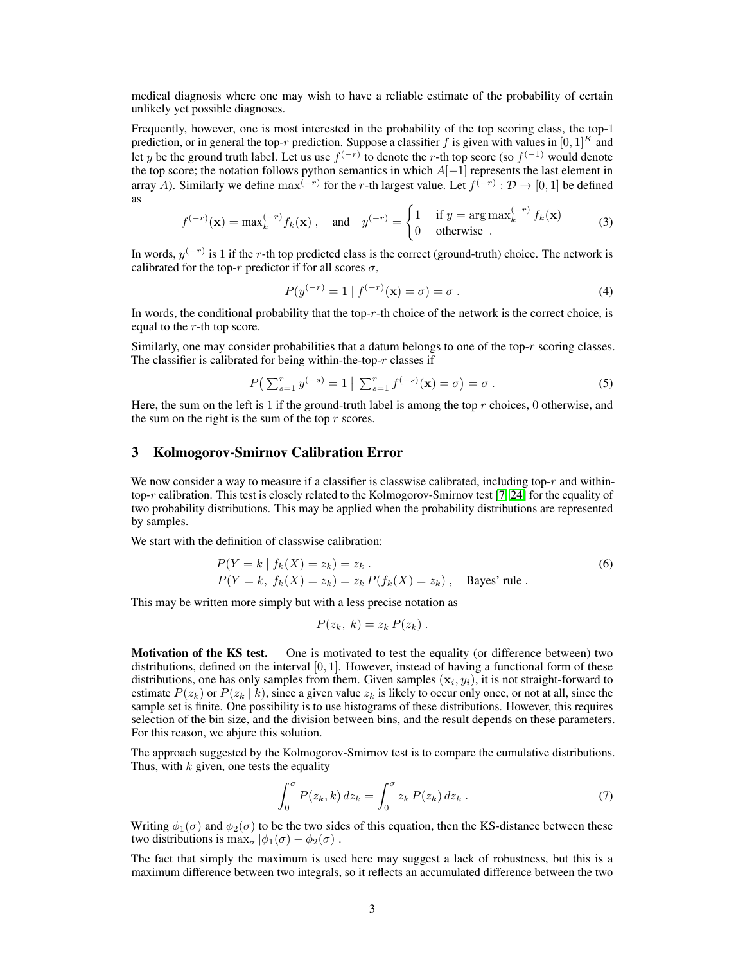medical diagnosis where one may wish to have a reliable estimate of the probability of certain unlikely yet possible diagnoses.

Frequently, however, one is most interested in the probability of the top scoring class, the top-1 prediction, or in general the top-r prediction. Suppose a classifier f is given with values in  $[0, 1]^K$  and let y be the ground truth label. Let us use  $f^{(-r)}$  to denote the r-th top score (so  $f^{(-1)}$  would denote the top score; the notation follows python semantics in which  $A[-1]$  represents the last element in array A). Similarly we define  $max^{(-r)}$  for the r-th largest value. Let  $f^{(-r)} : \mathcal{D} \to [0,1]$  be defined as

$$
f^{(-r)}(\mathbf{x}) = \max_{k}^{(-r)} f_k(\mathbf{x}), \quad \text{and} \quad y^{(-r)} = \begin{cases} 1 & \text{if } y = \arg \max_{k}^{(-r)} f_k(\mathbf{x}) \\ 0 & \text{otherwise} \end{cases} \tag{3}
$$

In words,  $y^{(-r)}$  is 1 if the r-th top predicted class is the correct (ground-truth) choice. The network is calibrated for the top-r predictor if for all scores  $\sigma$ ,

$$
P(y^{(-r)} = 1 | f^{(-r)}(\mathbf{x}) = \sigma) = \sigma.
$$
 (4)

In words, the conditional probability that the top-r-th choice of the network is the correct choice, is equal to the r-th top score.

Similarly, one may consider probabilities that a datum belongs to one of the top-r scoring classes. The classifier is calibrated for being within-the-top- $r$  classes if

$$
P\left(\sum_{s=1}^{r} y^{(-s)} = 1 \mid \sum_{s=1}^{r} f^{(-s)}(\mathbf{x}) = \sigma\right) = \sigma.
$$
 (5)

Here, the sum on the left is 1 if the ground-truth label is among the top  $r$  choices, 0 otherwise, and the sum on the right is the sum of the top  $r$  scores.

#### 3 Kolmogorov-Smirnov Calibration Error

We now consider a way to measure if a classifier is classwise calibrated, including top- $r$  and within-top-r calibration. This test is closely related to the Kolmogorov-Smirnov test [\[7,](#page-15-4) [24\]](#page-16-3) for the equality of two probability distributions. This may be applied when the probability distributions are represented by samples.

We start with the definition of classwise calibration:

$$
P(Y = k | f_k(X) = z_k) = z_k.
$$
  
\n
$$
P(Y = k, f_k(X) = z_k) = z_k P(f_k(X) = z_k),
$$
 Bayes' rule. (6)

This may be written more simply but with a less precise notation as

$$
P(z_k, k) = z_k P(z_k).
$$

Motivation of the KS test. One is motivated to test the equality (or difference between) two distributions, defined on the interval  $[0, 1]$ . However, instead of having a functional form of these distributions, one has only samples from them. Given samples  $(x_i, y_i)$ , it is not straight-forward to estimate  $P(z_k)$  or  $P(z_k | k)$ , since a given value  $z_k$  is likely to occur only once, or not at all, since the sample set is finite. One possibility is to use histograms of these distributions. However, this requires selection of the bin size, and the division between bins, and the result depends on these parameters. For this reason, we abjure this solution.

The approach suggested by the Kolmogorov-Smirnov test is to compare the cumulative distributions. Thus, with  $k$  given, one tests the equality

$$
\int_0^\sigma P(z_k, k) dz_k = \int_0^\sigma z_k P(z_k) dz_k . \tag{7}
$$

Writing  $\phi_1(\sigma)$  and  $\phi_2(\sigma)$  to be the two sides of this equation, then the KS-distance between these two distributions is  $\max_{\sigma} |\phi_1(\sigma) - \phi_2(\sigma)|$ .

The fact that simply the maximum is used here may suggest a lack of robustness, but this is a maximum difference between two integrals, so it reflects an accumulated difference between the two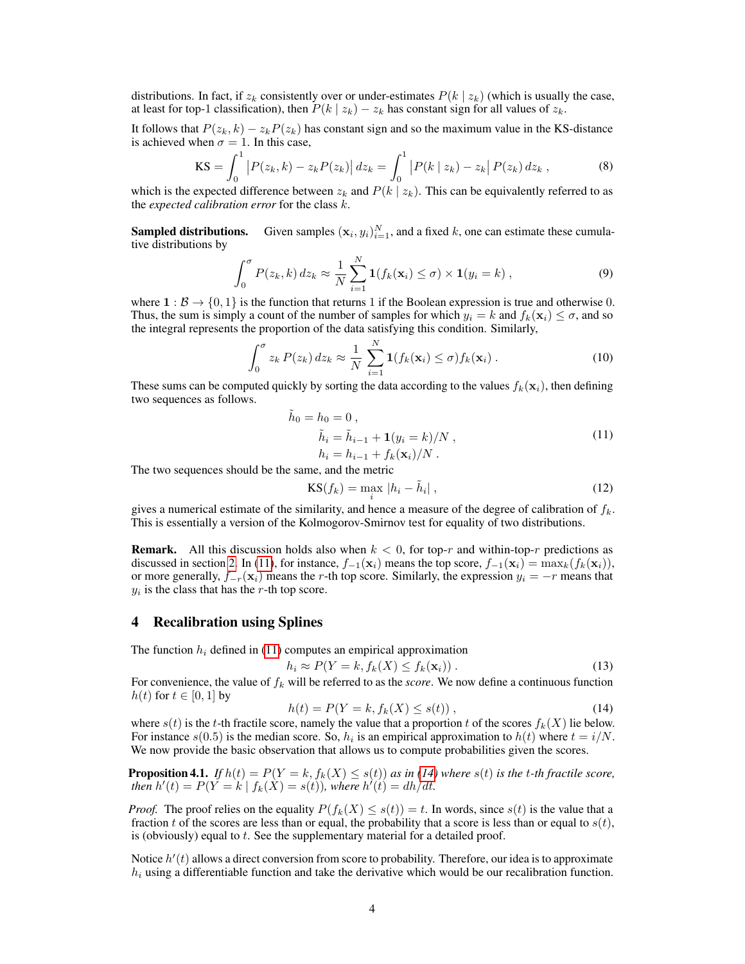distributions. In fact, if  $z_k$  consistently over or under-estimates  $P(k | z_k)$  (which is usually the case, at least for top-1 classification), then  $P(k | z_k) - z_k$  has constant sign for all values of  $z_k$ .

It follows that  $P(z_k, k) - z_k P(z_k)$  has constant sign and so the maximum value in the KS-distance is achieved when  $\sigma = 1$ . In this case,

$$
\text{KS} = \int_0^1 \left| P(z_k, k) - z_k P(z_k) \right| dz_k = \int_0^1 \left| P(k \mid z_k) - z_k \right| P(z_k) dz_k , \tag{8}
$$

which is the expected difference between  $z_k$  and  $P(k | z_k)$ . This can be equivalently referred to as the *expected calibration error* for the class k.

Sampled distributions.  $(y_i)_{i=1}^N$ , and a fixed k, one can estimate these cumulative distributions by

$$
\int_0^{\sigma} P(z_k, k) dz_k \approx \frac{1}{N} \sum_{i=1}^{N} \mathbf{1}(f_k(\mathbf{x}_i) \leq \sigma) \times \mathbf{1}(y_i = k) , \qquad (9)
$$

where  $1 : \mathcal{B} \to \{0, 1\}$  is the function that returns 1 if the Boolean expression is true and otherwise 0. Thus, the sum is simply a count of the number of samples for which  $y_i = k$  and  $f_k(\mathbf{x}_i) \leq \sigma$ , and so the integral represents the proportion of the data satisfying this condition. Similarly,

$$
\int_0^{\sigma} z_k P(z_k) dz_k \approx \frac{1}{N} \sum_{i=1}^N \mathbf{1}(f_k(\mathbf{x}_i) \le \sigma) f_k(\mathbf{x}_i).
$$
 (10)

These sums can be computed quickly by sorting the data according to the values  $f_k(\mathbf{x}_i)$ , then defining two sequences as follows.

$$
\tilde{h}_0 = h_0 = 0 ,\n\tilde{h}_i = \tilde{h}_{i-1} + \mathbf{1}(y_i = k) / N ,\nh_i = h_{i-1} + f_k(\mathbf{x}_i) / N .
$$
\n(11)

The two sequences should be the same, and the metric

<span id="page-3-0"></span>
$$
KS(f_k) = \max_i |h_i - \tilde{h}_i|,
$$
\n(12)

gives a numerical estimate of the similarity, and hence a measure of the degree of calibration of  $f_k$ . This is essentially a version of the Kolmogorov-Smirnov test for equality of two distributions.

**Remark.** All this discussion holds also when  $k < 0$ , for top-r and within-top-r predictions as discussed in section [2.](#page-1-0) In [\(11\)](#page-3-0), for instance,  $f_{-1}(\mathbf{x}_i)$  means the top score,  $f_{-1}(\mathbf{x}_i) = \max_k (f_k(\mathbf{x}_i))$ , or more generally,  $f_{-r}(\mathbf{x}_i)$  means the r-th top score. Similarly, the expression  $y_i = -r$  means that  $y_i$  is the class that has the r-th top score.

## <span id="page-3-2"></span>4 Recalibration using Splines

The function  $h_i$  defined in [\(11\)](#page-3-0) computes an empirical approximation

$$
h_i \approx P(Y = k, f_k(X) \le f_k(\mathbf{x}_i)) \,. \tag{13}
$$

For convenience, the value of  $f_k$  will be referred to as the *score*. We now define a continuous function  $h(t)$  for  $t \in [0, 1]$  by

<span id="page-3-1"></span>
$$
h(t) = P(Y = k, f_k(X) \le s(t)),
$$
\n(14)

where  $s(t)$  is the t-th fractile score, namely the value that a proportion t of the scores  $f_k(X)$  lie below. For instance  $s(0.5)$  is the median score. So,  $h_i$  is an empirical approximation to  $h(t)$  where  $t = i/N$ . We now provide the basic observation that allows us to compute probabilities given the scores.

<span id="page-3-3"></span>**Proposition 4.1.** *If*  $h(t) = P(Y = k, f_k(X) \leq s(t))$  *as in* [\(14\)](#page-3-1) where  $s(t)$  *is the t-th fractile score, then*  $h'(t) = P(Y = k | f_k(X) = s(t))$ , where  $h'(t) = dh/dt$ .

*Proof.* The proof relies on the equality  $P(f_k(X) \leq s(t)) = t$ . In words, since  $s(t)$  is the value that a fraction t of the scores are less than or equal, the probability that a score is less than or equal to  $s(t)$ , is (obviously) equal to  $t$ . See the supplementary material for a detailed proof.

Notice  $h'(t)$  allows a direct conversion from score to probability. Therefore, our idea is to approximate  $h_i$  using a differentiable function and take the derivative which would be our recalibration function.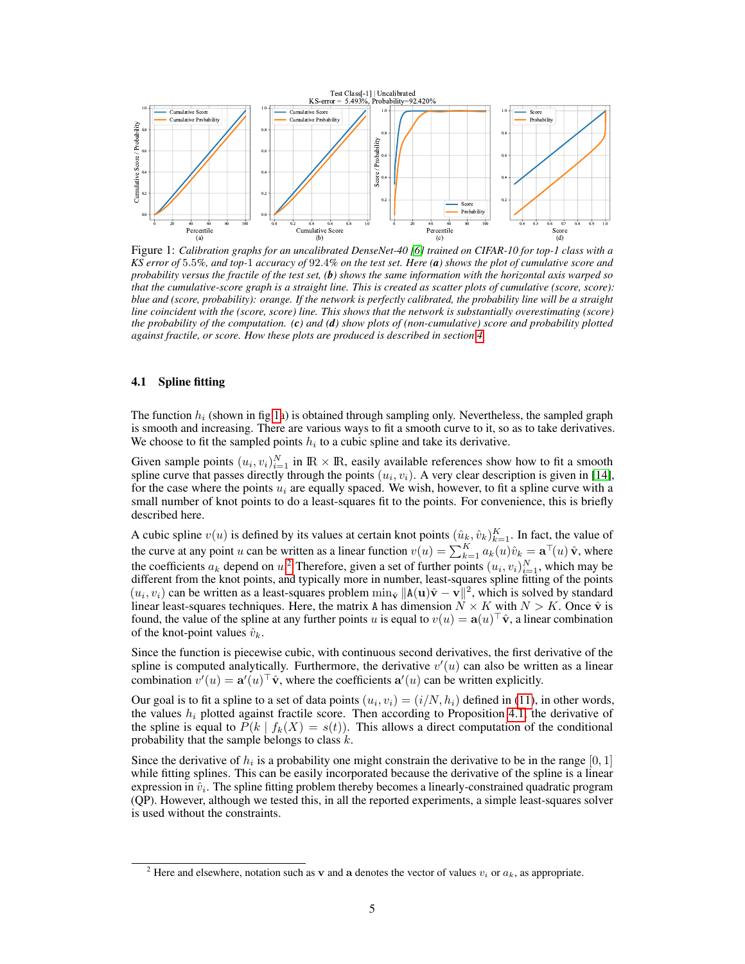

<span id="page-4-0"></span>Figure 1: *Calibration graphs for an uncalibrated DenseNet-40 [\[6\]](#page-15-5) trained on CIFAR-10 for top-1 class with a KS error of* 5.5*%, and top-*1 *accuracy of* 92.4*% on the test set. Here (a) shows the plot of cumulative score and probability versus the fractile of the test set, (b) shows the same information with the horizontal axis warped so that the cumulative-score graph is a straight line. This is created as scatter plots of cumulative (score, score): blue and (score, probability): orange. If the network is perfectly calibrated, the probability line will be a straight line coincident with the (score, score) line. This shows that the network is substantially overestimating (score) the probability of the computation. (c) and (d) show plots of (non-cumulative) score and probability plotted against fractile, or score. How these plots are produced is described in section [4.](#page-3-2)*

### 4.1 Spline fitting

The function  $h_i$  (shown in fig [1a](#page-4-0)) is obtained through sampling only. Nevertheless, the sampled graph is smooth and increasing. There are various ways to fit a smooth curve to it, so as to take derivatives. We choose to fit the sampled points  $h_i$  to a cubic spline and take its derivative.

Given sample points  $(u_i, v_i)_{i=1}^N$  in  $\mathbb{R} \times \mathbb{R}$ , easily available references show how to fit a smooth spline curve that passes directly through the points  $(u_i, v_i)$ . A very clear description is given in [\[14\]](#page-16-5), for the case where the points  $u_i$  are equally spaced. We wish, however, to fit a spline curve with a small number of knot points to do a least-squares fit to the points. For convenience, this is briefly described here.

A cubic spline  $v(u)$  is defined by its values at certain knot points  $(\hat{u}_k, \hat{v}_k)_{k=1}^K$ . In fact, the value of the curve at any point u can be written as a linear function  $v(u) = \sum_{k=1}^{K} a_k(u)\hat{v}_k = \mathbf{a}^\top(u)\hat{\mathbf{v}}$ , where the coefficients  $a_k$  depend on  $u^2$  $u^2$ . Therefore, given a set of further points  $(u_i, v_i)_{i=1}^N$ , which may be different from the knot points, and typically more in number, least-squares spline fitting of the points  $(u_i, v_i)$  can be written as a least-squares problem  $\min_{\hat{v}} ||A(u)\hat{v} - v||^2$ , which is solved by standard linear least-squares techniques. Here, the matrix A has dimension  $\ddot{N} \times K$  with  $N > K$ . Once  $\hat{v}$  is found, the value of the spline at any further points u is equal to  $v(u) = \mathbf{a}(u)^\top \hat{\mathbf{v}}$ , a linear combination of the knot-point values  $\hat{v}_k$ .

Since the function is piecewise cubic, with continuous second derivatives, the first derivative of the spline is computed analytically. Furthermore, the derivative  $v'(u)$  can also be written as a linear combination  $v'(u) = \mathbf{a}'(u)^\top \hat{\mathbf{v}}$ , where the coefficients  $\mathbf{a}'(u)$  can be written explicitly.

Our goal is to fit a spline to a set of data points  $(u_i, v_i) = (i/N, h_i)$  defined in [\(11\)](#page-3-0), in other words, the values  $h_i$  plotted against fractile score. Then according to Proposition [4.1,](#page-3-3) the derivative of the spline is equal to  $P(k | f_k(X) = s(t))$ . This allows a direct computation of the conditional probability that the sample belongs to class  $k$ .

Since the derivative of  $h_i$  is a probability one might constrain the derivative to be in the range  $[0, 1]$ while fitting splines. This can be easily incorporated because the derivative of the spline is a linear expression in  $\hat{v}_i$ . The spline fitting problem thereby becomes a linearly-constrained quadratic program (QP). However, although we tested this, in all the reported experiments, a simple least-squares solver is used without the constraints.

<span id="page-4-1"></span><sup>&</sup>lt;sup>2</sup> Here and elsewhere, notation such as v and a denotes the vector of values  $v_i$  or  $a_k$ , as appropriate.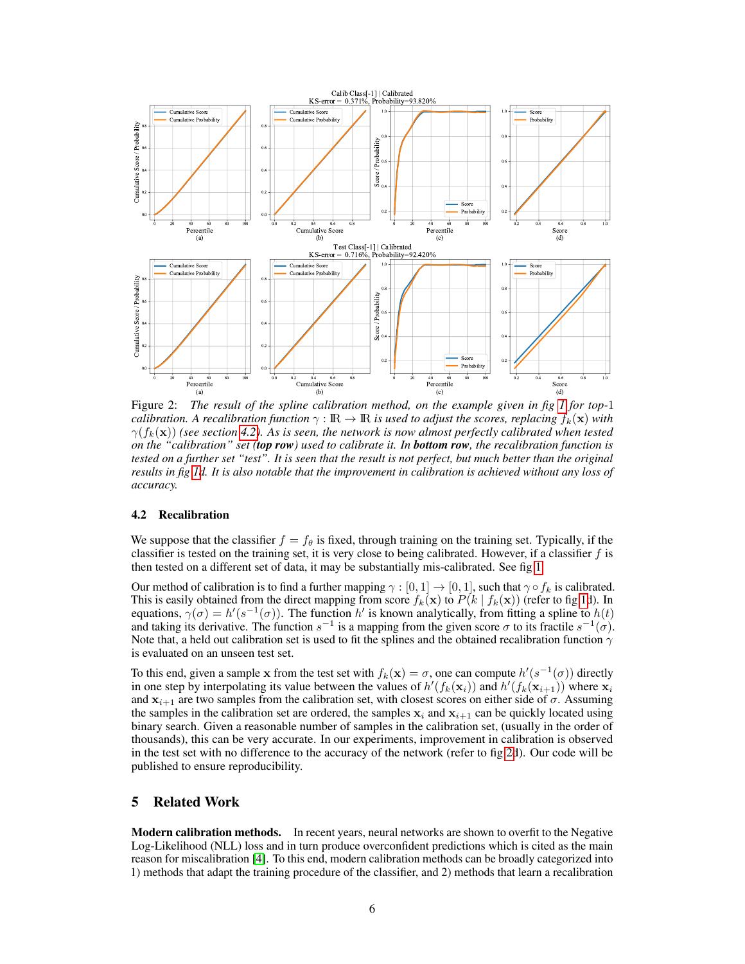

<span id="page-5-1"></span>Figure 2: *The result of the spline calibration method, on the example given in fig [1](#page-4-0) for top-*1 *calibration. A recalibration function*  $\gamma : \mathbb{R} \to \mathbb{R}$  *is used to adjust the scores, replacing*  $f_k(\mathbf{x})$  *with*  $\gamma(f_k(\mathbf{x}))$  *(see section [4.2\)](#page-5-0). As is seen, the network is now almost perfectly calibrated when tested on the "calibration" set (top row) used to calibrate it. In bottom row, the recalibration function is tested on a further set "test". It is seen that the result is not perfect, but much better than the original results in fig [1d](#page-4-0). It is also notable that the improvement in calibration is achieved without any loss of accuracy.*

## <span id="page-5-0"></span>4.2 Recalibration

We suppose that the classifier  $f = f_\theta$  is fixed, through training on the training set. Typically, if the classifier is tested on the training set, it is very close to being calibrated. However, if a classifier  $f$  is then tested on a different set of data, it may be substantially mis-calibrated. See fig [1.](#page-4-0)

Our method of calibration is to find a further mapping  $\gamma : [0, 1] \to [0, 1]$ , such that  $\gamma \circ f_k$  is calibrated. This is easily obtained from the direct mapping from score  $f_k(\mathbf{x})$  to  $P(k | f_k(\mathbf{x}))$  (refer to fig [1d](#page-4-0)). In equations,  $\gamma(\sigma) = h'(s^{-1}(\sigma))$ . The function h' is known analytically, from fitting a spline to  $h(t)$ and taking its derivative. The function  $s^{-1}$  is a mapping from the given score  $\sigma$  to its fractile  $s^{-1}(\sigma)$ . Note that, a held out calibration set is used to fit the splines and the obtained recalibration function  $\gamma$ is evaluated on an unseen test set.

To this end, given a sample x from the test set with  $f_k(\mathbf{x}) = \sigma$ , one can compute  $h'(s^{-1}(\sigma))$  directly in one step by interpolating its value between the values of  $h'(f_k(\mathbf{x}_i))$  and  $h'(f_k(\mathbf{x}_{i+1}))$  where  $\mathbf{x}_i$ and  $x_{i+1}$  are two samples from the calibration set, with closest scores on either side of  $\sigma$ . Assuming the samples in the calibration set are ordered, the samples  $x_i$  and  $x_{i+1}$  can be quickly located using binary search. Given a reasonable number of samples in the calibration set, (usually in the order of thousands), this can be very accurate. In our experiments, improvement in calibration is observed in the test set with no difference to the accuracy of the network (refer to fig [2d](#page-5-1)). Our code will be published to ensure reproducibility.

## 5 Related Work

**Modern calibration methods.** In recent years, neural networks are shown to overfit to the Negative Log-Likelihood (NLL) loss and in turn produce overconfident predictions which is cited as the main reason for miscalibration [\[4\]](#page-15-0). To this end, modern calibration methods can be broadly categorized into 1) methods that adapt the training procedure of the classifier, and 2) methods that learn a recalibration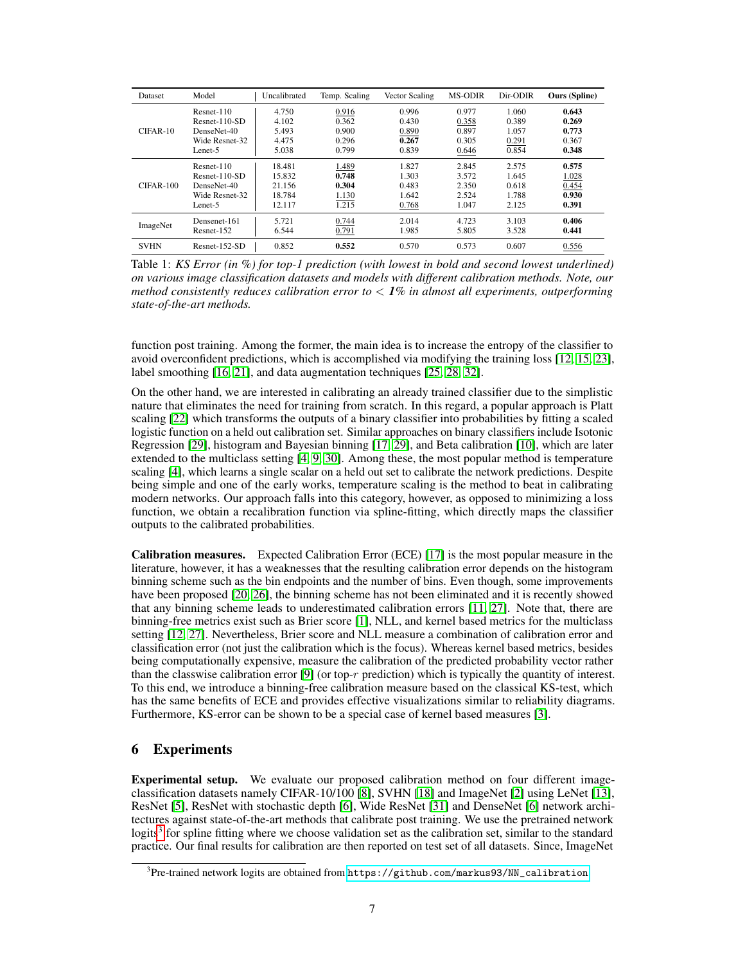| <b>Dataset</b> | Model           | Uncalibrated | Temp. Scaling | Vector Scaling | <b>MS-ODIR</b> | Dir-ODIR | <b>Ours</b> (Spline) |
|----------------|-----------------|--------------|---------------|----------------|----------------|----------|----------------------|
| $CIFAR-10$     | $Resnet-110$    | 4.750        | 0.916         | 0.996          | 0.977          | 1.060    | 0.643                |
|                | $Resnet-110-SD$ | 4.102        | 0.362         | 0.430          | 0.358          | 0.389    | 0.269                |
|                | DenseNet-40     | 5.493        | 0.900         | 0.890          | 0.897          | 1.057    | 0.773                |
|                | Wide Resnet-32  | 4.475        | 0.296         | 0.267          | 0.305          | 0.291    | 0.367                |
|                | Lenet-5         | 5.038        | 0.799         | 0.839          | 0.646          | 0.854    | 0.348                |
|                | Resnet-110      | 18.481       | 1.489         | 1.827          | 2.845          | 2.575    | 0.575                |
|                | $Resnet-110-SD$ | 15.832       | 0.748         | 1.303          | 3.572          | 1.645    | 1.028                |
| $CIFAR-100$    | DenseNet-40     | 21.156       | 0.304         | 0.483          | 2.350          | 0.618    | 0.454                |
|                | Wide Resnet-32  | 18.784       | 1.130         | 1.642          | 2.524          | 1.788    | 0.930                |
|                | Lenet-5         | 12.117       | 1.215         | 0.768          | 1.047          | 2.125    | 0.391                |
| ImageNet       | Densenet-161    | 5.721        | 0.744         | 2.014          | 4.723          | 3.103    | 0.406                |
|                | Resnet-152      | 6.544        | 0.791         | 1.985          | 5.805          | 3.528    | 0.441                |
| <b>SVHN</b>    | $Resnet-152-SD$ | 0.852        | 0.552         | 0.570          | 0.573          | 0.607    | 0.556                |

<span id="page-6-1"></span>Table 1: *KS Error (in %) for top-1 prediction (with lowest in bold and second lowest underlined) on various image classification datasets and models with different calibration methods. Note, our method consistently reduces calibration error to* < *1% in almost all experiments, outperforming state-of-the-art methods.*

function post training. Among the former, the main idea is to increase the entropy of the classifier to avoid overconfident predictions, which is accomplished via modifying the training loss [\[12,](#page-15-3) [15,](#page-16-6) [23\]](#page-16-8), label smoothing [\[16,](#page-16-0) [21\]](#page-16-9), and data augmentation techniques [\[25,](#page-16-10) [28,](#page-16-11) [32\]](#page-17-0).

On the other hand, we are interested in calibrating an already trained classifier due to the simplistic nature that eliminates the need for training from scratch. In this regard, a popular approach is Platt scaling [\[22\]](#page-16-12) which transforms the outputs of a binary classifier into probabilities by fitting a scaled logistic function on a held out calibration set. Similar approaches on binary classifiers include Isotonic Regression [\[29\]](#page-16-13), histogram and Bayesian binning [\[17,](#page-16-1) [29\]](#page-16-13), and Beta calibration [\[10\]](#page-15-6), which are later extended to the multiclass setting [\[4,](#page-15-0) [9,](#page-15-1) [30\]](#page-16-7). Among these, the most popular method is temperature scaling [\[4\]](#page-15-0), which learns a single scalar on a held out set to calibrate the network predictions. Despite being simple and one of the early works, temperature scaling is the method to beat in calibrating modern networks. Our approach falls into this category, however, as opposed to minimizing a loss function, we obtain a recalibration function via spline-fitting, which directly maps the classifier outputs to the calibrated probabilities.

Calibration measures. Expected Calibration Error (ECE) [\[17\]](#page-16-1) is the most popular measure in the literature, however, it has a weaknesses that the resulting calibration error depends on the histogram binning scheme such as the bin endpoints and the number of bins. Even though, some improvements have been proposed [\[20,](#page-16-2) [26\]](#page-16-14), the binning scheme has not been eliminated and it is recently showed that any binning scheme leads to underestimated calibration errors [\[11,](#page-15-2) [27\]](#page-16-15). Note that, there are binning-free metrics exist such as Brier score [\[1\]](#page-15-7), NLL, and kernel based metrics for the multiclass setting [\[12,](#page-15-3) [27\]](#page-16-15). Nevertheless, Brier score and NLL measure a combination of calibration error and classification error (not just the calibration which is the focus). Whereas kernel based metrics, besides being computationally expensive, measure the calibration of the predicted probability vector rather than the classwise calibration error  $[9]$  (or top-r prediction) which is typically the quantity of interest. To this end, we introduce a binning-free calibration measure based on the classical KS-test, which has the same benefits of ECE and provides effective visualizations similar to reliability diagrams. Furthermore, KS-error can be shown to be a special case of kernel based measures [\[3\]](#page-15-8).

## 6 Experiments

Experimental setup. We evaluate our proposed calibration method on four different imageclassification datasets namely CIFAR-10/100 [\[8\]](#page-15-9), SVHN [\[18\]](#page-16-16) and ImageNet [\[2\]](#page-15-10) using LeNet [\[13\]](#page-16-17), ResNet [\[5\]](#page-15-11), ResNet with stochastic depth [\[6\]](#page-15-5), Wide ResNet [\[31\]](#page-16-18) and DenseNet [\[6\]](#page-15-5) network architectures against state-of-the-art methods that calibrate post training. We use the pretrained network logits<sup>[3](#page-6-0)</sup> for spline fitting where we choose validation set as the calibration set, similar to the standard practice. Our final results for calibration are then reported on test set of all datasets. Since, ImageNet

<span id="page-6-0"></span> $^3$ Pre-trained network logits are obtained from  $\texttt{https://github.com/markus93/NN\_calibration}.$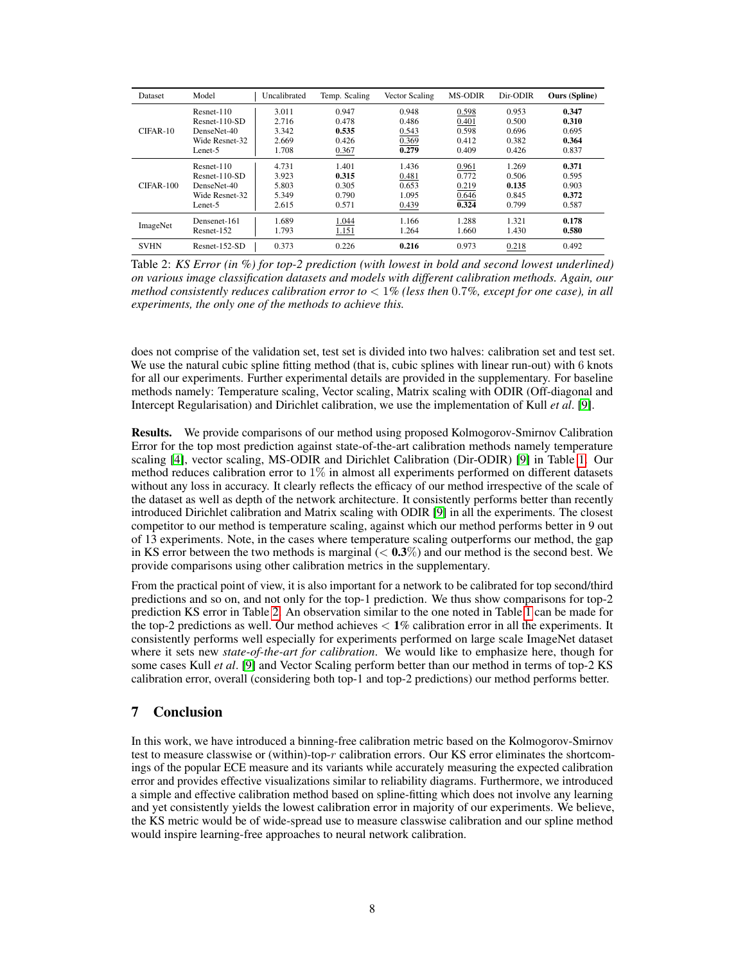| Dataset     | Model           | Uncalibrated | Temp. Scaling | Vector Scaling | <b>MS-ODIR</b> | Dir-ODIR | <b>Ours</b> (Spline) |
|-------------|-----------------|--------------|---------------|----------------|----------------|----------|----------------------|
| $CIFAR-10$  | $Resnet-110$    | 3.011        | 0.947         | 0.948          | 0.598          | 0.953    | 0.347                |
|             | $Resnet-110-SD$ | 2.716        | 0.478         | 0.486          | 0.401          | 0.500    | 0.310                |
|             | DenseNet-40     | 3.342        | 0.535         | 0.543          | 0.598          | 0.696    | 0.695                |
|             | Wide Resnet-32  | 2.669        | 0.426         | 0.369          | 0.412          | 0.382    | 0.364                |
|             | Lenet-5         | 1.708        | 0.367         | 0.279          | 0.409          | 0.426    | 0.837                |
|             | Resnet-110      | 4.731        | 1.401         | 1.436          | 0.961          | 1.269    | 0.371                |
|             | $Resnet-110-SD$ | 3.923        | 0.315         | 0.481          | 0.772          | 0.506    | 0.595                |
| $CIFAR-100$ | DenseNet-40     | 5.803        | 0.305         | 0.653          | 0.219          | 0.135    | 0.903                |
|             | Wide Resnet-32  | 5.349        | 0.790         | 1.095          | 0.646          | 0.845    | 0.372                |
|             | Lenet-5         | 2.615        | 0.571         | 0.439          | 0.324          | 0.799    | 0.587                |
| ImageNet    | Densenet-161    | 1.689        | 1.044         | 1.166          | 1.288          | 1.321    | 0.178                |
|             | Resnet-152      | 1.793        | 1.151         | 1.264          | 1.660          | 1.430    | 0.580                |
| <b>SVHN</b> | $Resnet-152-SD$ | 0.373        | 0.226         | 0.216          | 0.973          | 0.218    | 0.492                |

<span id="page-7-0"></span>Table 2: *KS Error (in %) for top-2 prediction (with lowest in bold and second lowest underlined) on various image classification datasets and models with different calibration methods. Again, our method consistently reduces calibration error to* < 1*% (less then* 0.7*%, except for one case), in all experiments, the only one of the methods to achieve this.*

does not comprise of the validation set, test set is divided into two halves: calibration set and test set. We use the natural cubic spline fitting method (that is, cubic splines with linear run-out) with 6 knots for all our experiments. Further experimental details are provided in the supplementary. For baseline methods namely: Temperature scaling, Vector scaling, Matrix scaling with ODIR (Off-diagonal and Intercept Regularisation) and Dirichlet calibration, we use the implementation of Kull *et al*. [\[9\]](#page-15-1).

Results. We provide comparisons of our method using proposed Kolmogorov-Smirnov Calibration Error for the top most prediction against state-of-the-art calibration methods namely temperature scaling [\[4\]](#page-15-0), vector scaling, MS-ODIR and Dirichlet Calibration (Dir-ODIR) [\[9\]](#page-15-1) in Table [1.](#page-6-1) Our method reduces calibration error to  $1\%$  in almost all experiments performed on different datasets without any loss in accuracy. It clearly reflects the efficacy of our method irrespective of the scale of the dataset as well as depth of the network architecture. It consistently performs better than recently introduced Dirichlet calibration and Matrix scaling with ODIR [\[9\]](#page-15-1) in all the experiments. The closest competitor to our method is temperature scaling, against which our method performs better in 9 out of 13 experiments. Note, in the cases where temperature scaling outperforms our method, the gap in KS error between the two methods is marginal  $(< 0.3\%)$  and our method is the second best. We provide comparisons using other calibration metrics in the supplementary.

From the practical point of view, it is also important for a network to be calibrated for top second/third predictions and so on, and not only for the top-1 prediction. We thus show comparisons for top-2 prediction KS error in Table [2.](#page-7-0) An observation similar to the one noted in Table [1](#page-6-1) can be made for the top-2 predictions as well. Our method achieves  $< 1\%$  calibration error in all the experiments. It consistently performs well especially for experiments performed on large scale ImageNet dataset where it sets new *state-of-the-art for calibration*. We would like to emphasize here, though for some cases Kull *et al*. [\[9\]](#page-15-1) and Vector Scaling perform better than our method in terms of top-2 KS calibration error, overall (considering both top-1 and top-2 predictions) our method performs better.

## 7 Conclusion

In this work, we have introduced a binning-free calibration metric based on the Kolmogorov-Smirnov test to measure classwise or (within)-top-r calibration errors. Our KS error eliminates the shortcomings of the popular ECE measure and its variants while accurately measuring the expected calibration error and provides effective visualizations similar to reliability diagrams. Furthermore, we introduced a simple and effective calibration method based on spline-fitting which does not involve any learning and yet consistently yields the lowest calibration error in majority of our experiments. We believe, the KS metric would be of wide-spread use to measure classwise calibration and our spline method would inspire learning-free approaches to neural network calibration.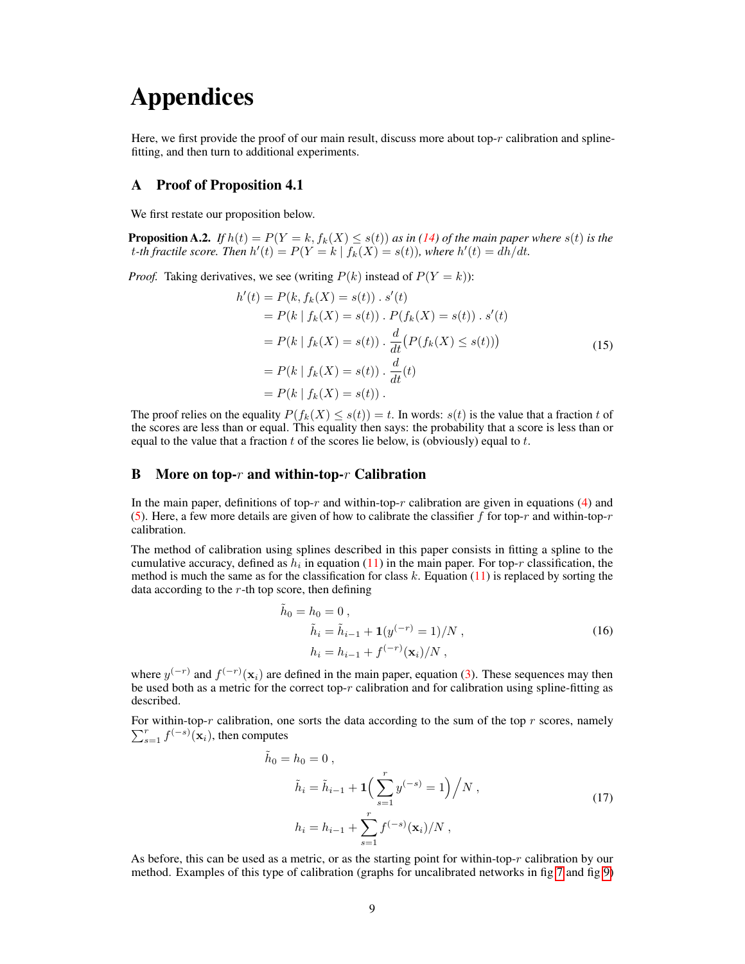# Appendices

Here, we first provide the proof of our main result, discuss more about top- $r$  calibration and splinefitting, and then turn to additional experiments.

## A Proof of Proposition 4.1

We first restate our proposition below.

**Proposition A.2.** *If*  $h(t) = P(Y = k, f_k(X) \leq s(t))$  *as in* (14) *of the main paper where*  $s(t)$  *is the* t-th fractile score. Then  $h'(t) = P(Y = k | f_k(X) = s(t))$ , where  $h'(t) = \frac{dh}{dt}$ .

*Proof.* Taking derivatives, we see (writing  $P(k)$  instead of  $P(Y = k)$ ):

$$
h'(t) = P(k, f_k(X) = s(t)) \cdot s'(t)
$$
  
=  $P(k | f_k(X) = s(t)) \cdot P(f_k(X) = s(t)) \cdot s'(t)$   
=  $P(k | f_k(X) = s(t)) \cdot \frac{d}{dt} (P(f_k(X) \le s(t)))$   
=  $P(k | f_k(X) = s(t)) \cdot \frac{d}{dt}(t)$   
=  $P(k | f_k(X) = s(t)) \cdot$  (15)

The proof relies on the equality  $P(f_k(X) \leq s(t)) = t$ . In words:  $s(t)$  is the value that a fraction t of the scores are less than or equal. This equality then says: the probability that a score is less than or equal to the value that a fraction  $t$  of the scores lie below, is (obviously) equal to  $t$ .

## B More on top- $r$  and within-top- $r$  Calibration

In the main paper, definitions of top-r and within-top-r calibration are given in equations (4) and (5). Here, a few more details are given of how to calibrate the classifier f for top-r and within-top-r calibration.

The method of calibration using splines described in this paper consists in fitting a spline to the cumulative accuracy, defined as  $h_i$  in equation (11) in the main paper. For top-r classification, the method is much the same as for the classification for class  $k$ . Equation (11) is replaced by sorting the data according to the  $r$ -th top score, then defining

$$
\tilde{h}_0 = h_0 = 0 ,
$$
\n
$$
\tilde{h}_i = \tilde{h}_{i-1} + \mathbf{1}(y^{(-r)} = 1) / N ,
$$
\n
$$
h_i = h_{i-1} + f^{(-r)}(\mathbf{x}_i) / N ,
$$
\n(16)

where  $y^{(-r)}$  and  $f^{(-r)}(\mathbf{x}_i)$  are defined in the main paper, equation (3). These sequences may then be used both as a metric for the correct top- $r$  calibration and for calibration using spline-fitting as described.

For within-top- $r$  calibration, one sorts the data according to the sum of the top  $r$  scores, namely  $\sum_{s=1}^{r} f^{(-s)}(\mathbf{x}_i)$ , then computes

$$
\tilde{h}_0 = h_0 = 0 ,
$$
\n
$$
\tilde{h}_i = \tilde{h}_{i-1} + 1 \left( \sum_{s=1}^r y^{(-s)} = 1 \right) / N ,
$$
\n
$$
h_i = h_{i-1} + \sum_{s=1}^r f^{(-s)}(\mathbf{x}_i) / N ,
$$
\n(17)

As before, this can be used as a metric, or as the starting point for within-top- $r$  calibration by our method. Examples of this type of calibration (graphs for uncalibrated networks in fig [7](#page-12-0) and fig [9\)](#page-13-0)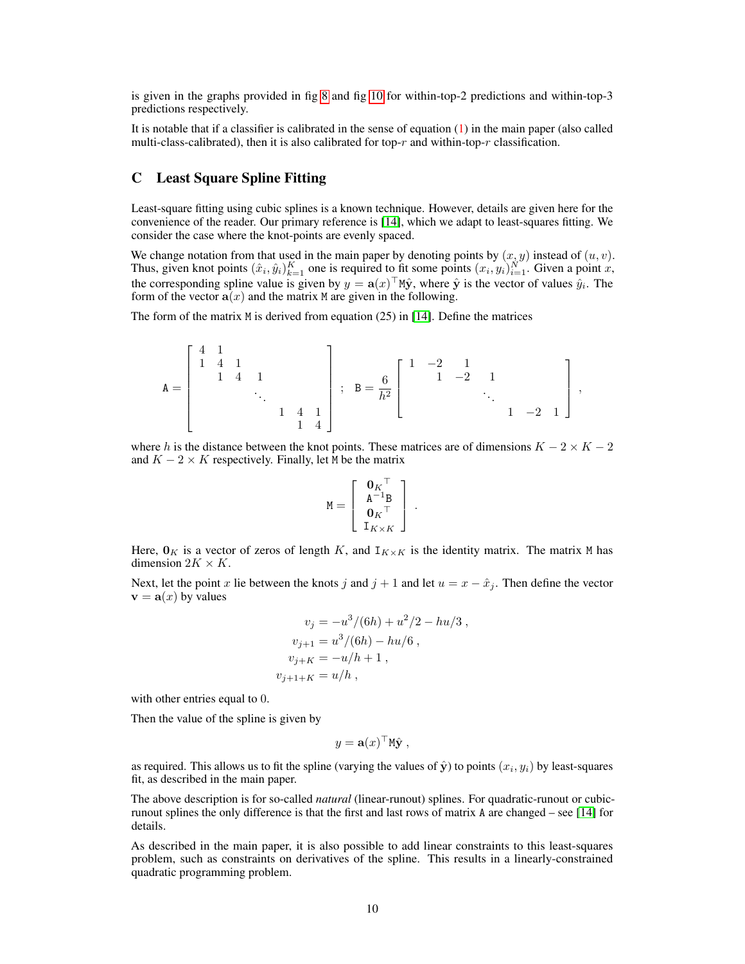is given in the graphs provided in fig [8](#page-13-1) and fig [10](#page-14-0) for within-top-2 predictions and within-top-3 predictions respectively.

It is notable that if a classifier is calibrated in the sense of equation (1) in the main paper (also called multi-class-calibrated), then it is also calibrated for top- $r$  and within-top- $r$  classification.

## C Least Square Spline Fitting

Least-square fitting using cubic splines is a known technique. However, details are given here for the convenience of the reader. Our primary reference is [\[14\]](#page-16-5), which we adapt to least-squares fitting. We consider the case where the knot-points are evenly spaced.

We change notation from that used in the main paper by denoting points by  $(x, y)$  instead of  $(u, v)$ . Thus, given knot points  $(\hat{x}_i, \hat{y}_i)_{k=1}^K$  one is required to fit some points  $(x_i, y_i)_{i=1}^N$ . Given a point x, the corresponding spline value is given by  $y = \mathbf{a}(x)^\top M \hat{\mathbf{y}}$ , where  $\hat{\mathbf{y}}$  is the vector of values  $\hat{y}_i$ . The form of the vector  $\mathbf{a}(x)$  and the matrix M are given in the following.

The form of the matrix M is derived from equation (25) in [\[14\]](#page-16-5). Define the matrices

$$
\mathtt{A} = \left[\begin{array}{ccccc} 4 & 1 & & & & \\ 1 & 4 & 1 & & & \\ & & 1 & 4 & 1 & & \\ & & & & \ddots & & \\ & & & & 1 & 4 & 1 \\ & & & & & 1 & 4 \end{array}\right] \ ; \ \mathtt{B} = \frac{6}{h^2} \left[\begin{array}{ccccc} 1 & -2 & 1 & & & \\ & 1 & -2 & 1 & & \\ & & \ddots & & \\ & & & \ddots & & \\ & & & & 1 & -2 & 1 \end{array}\right] \ ,
$$

where h is the distance between the knot points. These matrices are of dimensions  $K - 2 \times K - 2$ and  $K - 2 \times K$  respectively. Finally, let M be the matrix

$$
\mathtt{M} = \left[ \begin{array}{c} \mathbf{0}_K{}^{\top} \\ \mathtt{A}^{-1} \mathtt{B} \\ \mathbf{0}_K{}^{\top} \\ \mathtt{I}_{K \times K} \end{array} \right] \; .
$$

Here,  $\mathbf{0}_K$  is a vector of zeros of length K, and  $\mathbf{I}_{K \times K}$  is the identity matrix. The matrix M has dimension  $2K \times K$ .

Next, let the point x lie between the knots j and  $j + 1$  and let  $u = x - \hat{x}_j$ . Then define the vector  $\mathbf{v} = \mathbf{a}(x)$  by values

$$
v_j = -u^3/(6h) + u^2/2 - hu/3,
$$
  
\n
$$
v_{j+1} = u^3/(6h) - hu/6,
$$
  
\n
$$
v_{j+K} = -u/h + 1,
$$
  
\n
$$
v_{j+1+K} = u/h,
$$

with other entries equal to 0.

Then the value of the spline is given by

$$
y = \mathbf{a}(x)^{\top} \mathbf{M} \hat{\mathbf{y}} \ ,
$$

as required. This allows us to fit the spline (varying the values of  $\hat{\mathbf{y}}$ ) to points  $(x_i, y_i)$  by least-squares fit, as described in the main paper.

The above description is for so-called *natural* (linear-runout) splines. For quadratic-runout or cubicrunout splines the only difference is that the first and last rows of matrix A are changed – see [\[14\]](#page-16-5) for details.

As described in the main paper, it is also possible to add linear constraints to this least-squares problem, such as constraints on derivatives of the spline. This results in a linearly-constrained quadratic programming problem.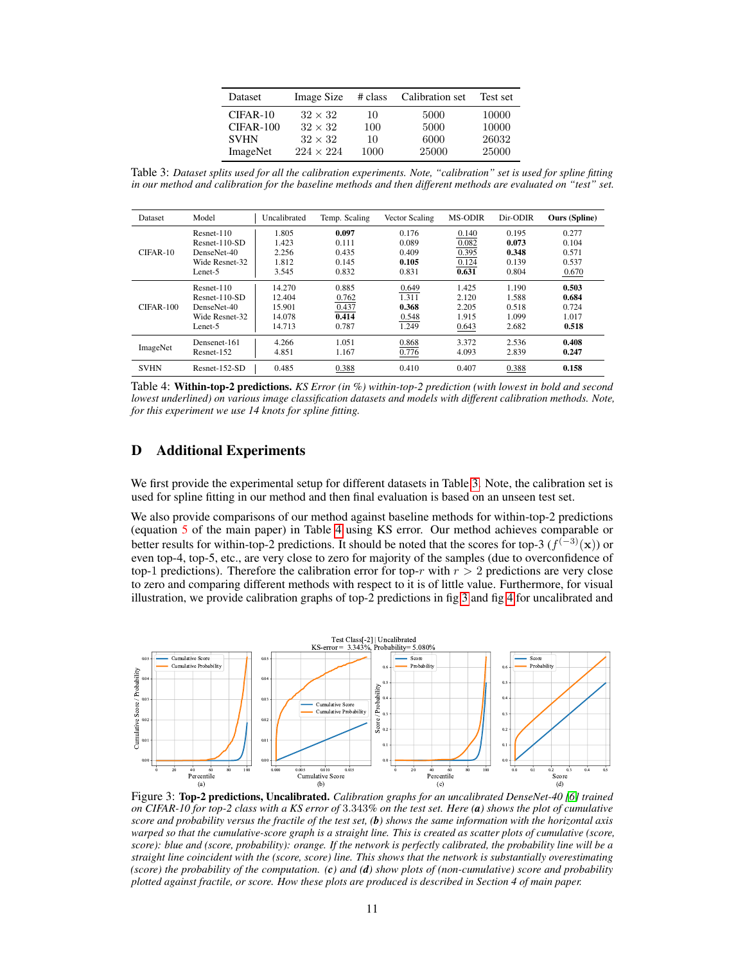| Dataset     | <b>Image Size</b> | # class | Calibration set | Test set |
|-------------|-------------------|---------|-----------------|----------|
| $CIFAR-10$  | $32 \times 32$    | 10      | 5000            | 10000    |
| $CIFAR-100$ | $32 \times 32$    | 100     | 5000            | 10000    |
| <b>SVHN</b> | $32 \times 32$    | 10      | 6000            | 26032    |
| ImageNet    | $224 \times 224$  | 1000    | 25000           | 25000    |

<span id="page-10-0"></span>Table 3: *Dataset splits used for all the calibration experiments. Note, "calibration" set is used for spline fitting in our method and calibration for the baseline methods and then different methods are evaluated on "test" set.*

| <b>Dataset</b> | Model           | Uncalibrated | Temp. Scaling | Vector Scaling | <b>MS-ODIR</b> | Dir-ODIR | <b>Ours</b> (Spline) |
|----------------|-----------------|--------------|---------------|----------------|----------------|----------|----------------------|
| $CIFAR-10$     | Resnet-110      | 1.805        | 0.097         | 0.176          | 0.140          | 0.195    | 0.277                |
|                | $Resnet-110-SD$ | 1.423        | 0.111         | 0.089          | 0.082          | 0.073    | 0.104                |
|                | DenseNet-40     | 2.256        | 0.435         | 0.409          | 0.395          | 0.348    | 0.571                |
|                | Wide Resnet-32  | 1.812        | 0.145         | 0.105          | 0.124          | 0.139    | 0.537                |
|                | Lenet-5         | 3.545        | 0.832         | 0.831          | 0.631          | 0.804    | 0.670                |
|                | Resnet-110      | 14.270       | 0.885         | 0.649          | 1.425          | 1.190    | 0.503                |
|                | $Resnet-110-SD$ | 12.404       | 0.762         | 1.311          | 2.120          | 1.588    | 0.684                |
| $CIFAR-100$    | DenseNet-40     | 15.901       | 0.437         | 0.368          | 2.205          | 0.518    | 0.724                |
|                | Wide Resnet-32  | 14.078       | 0.414         | 0.548          | 1.915          | 1.099    | 1.017                |
|                | Lenet-5         | 14.713       | 0.787         | 1.249          | 0.643          | 2.682    | 0.518                |
| ImageNet       | Densenet-161    | 4.266        | 1.051         | 0.868          | 3.372          | 2.536    | 0.408                |
|                | Resnet-152      | 4.851        | 1.167         | 0.776          | 4.093          | 2.839    | 0.247                |
| <b>SVHN</b>    | $Resnet-152-SD$ | 0.485        | 0.388         | 0.410          | 0.407          | 0.388    | 0.158                |

<span id="page-10-1"></span>Table 4: Within-top-2 predictions. *KS Error (in %) within-top-2 prediction (with lowest in bold and second lowest underlined) on various image classification datasets and models with different calibration methods. Note, for this experiment we use 14 knots for spline fitting.*

## D Additional Experiments

We first provide the experimental setup for different datasets in Table [3.](#page-10-0) Note, the calibration set is used for spline fitting in our method and then final evaluation is based on an unseen test set.

We also provide comparisons of our method against baseline methods for within-top-2 predictions (equation 5 of the main paper) in Table [4](#page-10-1) using KS error. Our method achieves comparable or better results for within-top-2 predictions. It should be noted that the scores for top-3  $(f^{(-3)}(x))$  or even top-4, top-5, etc., are very close to zero for majority of the samples (due to overconfidence of top-1 predictions). Therefore the calibration error for top-r with  $r > 2$  predictions are very close to zero and comparing different methods with respect to it is of little value. Furthermore, for visual illustration, we provide calibration graphs of top-2 predictions in fig [3](#page-10-2) and fig [4](#page-11-0) for uncalibrated and



<span id="page-10-2"></span>Figure 3: Top-2 predictions, Uncalibrated. *Calibration graphs for an uncalibrated DenseNet-40 [\[6\]](#page-15-5) trained on CIFAR-10 for top-2 class with a KS error of* 3.343*% on the test set. Here (a) shows the plot of cumulative score and probability versus the fractile of the test set, (b) shows the same information with the horizontal axis warped so that the cumulative-score graph is a straight line. This is created as scatter plots of cumulative (score, score): blue and (score, probability): orange. If the network is perfectly calibrated, the probability line will be a straight line coincident with the (score, score) line. This shows that the network is substantially overestimating (score) the probability of the computation. (c) and (d) show plots of (non-cumulative) score and probability plotted against fractile, or score. How these plots are produced is described in Section 4 of main paper.*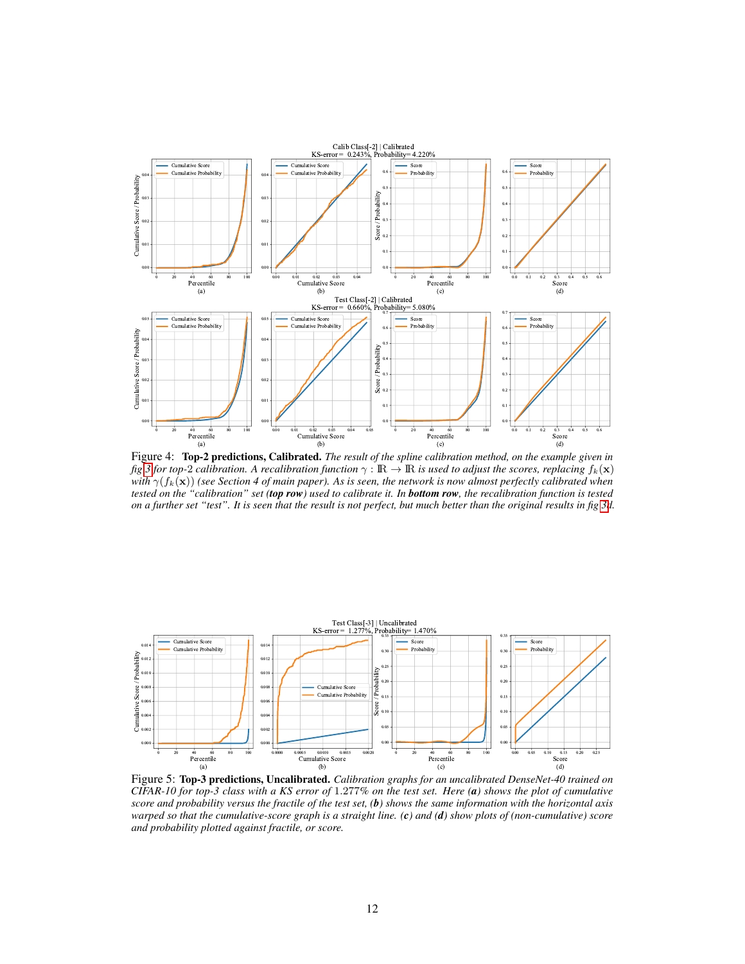

<span id="page-11-0"></span>Figure 4: Top-2 predictions, Calibrated. *The result of the spline calibration method, on the example given in fig* [3](#page-10-2) *for top-2 calibration. A recalibration function*  $\gamma : \mathbb{R} \to \mathbb{R}$  *is used to adjust the scores, replacing*  $f_k(\mathbf{x})$ *with*  $\gamma(f_k(\mathbf{x}))$  *(see Section 4 of main paper). As is seen, the network is now almost perfectly calibrated when tested on the "calibration" set (top row) used to calibrate it. In bottom row, the recalibration function is tested on a further set "test". It is seen that the result is not perfect, but much better than the original results in fig [3d](#page-10-2).*



<span id="page-11-1"></span>Figure 5: Top-3 predictions, Uncalibrated. *Calibration graphs for an uncalibrated DenseNet-40 trained on CIFAR-10 for top-3 class with a KS error of* 1.277*% on the test set. Here (a) shows the plot of cumulative score and probability versus the fractile of the test set, (b) shows the same information with the horizontal axis warped so that the cumulative-score graph is a straight line. (c) and (d) show plots of (non-cumulative) score and probability plotted against fractile, or score.*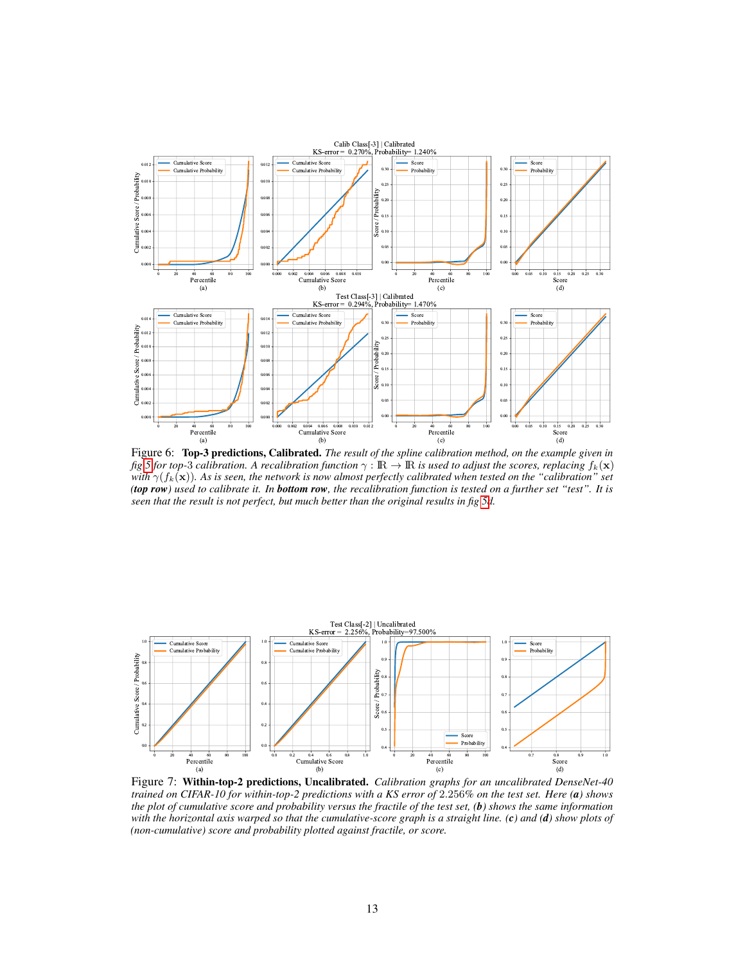

Figure 6: Top-3 predictions, Calibrated. *The result of the spline calibration method, on the example given in fig* [5](#page-11-1) *for top-3 calibration. A recalibration function*  $\gamma : \mathbb{R} \to \mathbb{R}$  *is used to adjust the scores, replacing*  $f_k(\mathbf{x})$ *with*  $\gamma(f_k(\mathbf{x}))$ *. As is seen, the network is now almost perfectly calibrated when tested on the "calibration" set (top row) used to calibrate it. In bottom row, the recalibration function is tested on a further set "test". It is seen that the result is not perfect, but much better than the original results in fig [5d](#page-11-1).*



<span id="page-12-0"></span>Figure 7: Within-top-2 predictions, Uncalibrated. *Calibration graphs for an uncalibrated DenseNet-40 trained on CIFAR-10 for within-top-2 predictions with a KS error of* 2.256*% on the test set. Here (a) shows the plot of cumulative score and probability versus the fractile of the test set, (b) shows the same information with the horizontal axis warped so that the cumulative-score graph is a straight line. (c) and (d) show plots of (non-cumulative) score and probability plotted against fractile, or score.*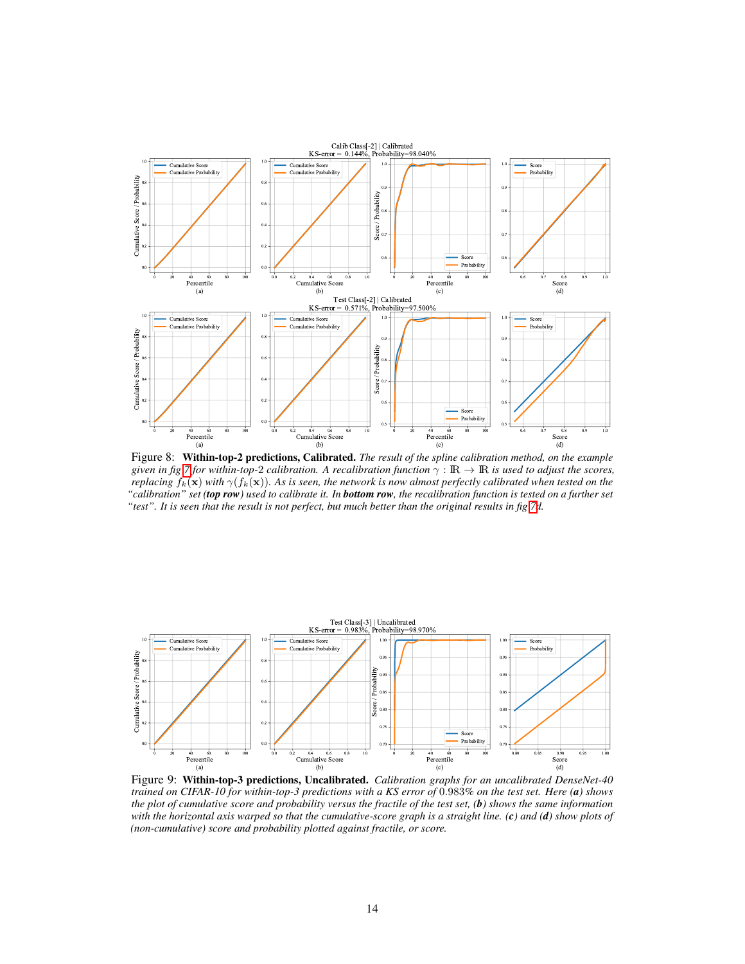

<span id="page-13-1"></span>Figure 8: Within-top-2 predictions, Calibrated. *The result of the spline calibration method, on the example given in fig 7 for within-top-2 calibration. A recalibration function*  $\gamma : \mathbb{R} \to \mathbb{R}$  *is used to adjust the scores, replacing*  $f_k(\mathbf{x})$  *with*  $\gamma(f_k(\mathbf{x}))$ *. As is seen, the network is now almost perfectly calibrated when tested on the "calibration" set (top row) used to calibrate it. In bottom row, the recalibration function is tested on a further set "test". It is seen that the result is not perfect, but much better than the original results in fig [7d](#page-12-0).*



<span id="page-13-0"></span>Figure 9: Within-top-3 predictions, Uncalibrated. *Calibration graphs for an uncalibrated DenseNet-40 trained on CIFAR-10 for within-top-3 predictions with a KS error of* 0.983*% on the test set. Here (a) shows the plot of cumulative score and probability versus the fractile of the test set, (b) shows the same information with the horizontal axis warped so that the cumulative-score graph is a straight line. (c) and (d) show plots of (non-cumulative) score and probability plotted against fractile, or score.*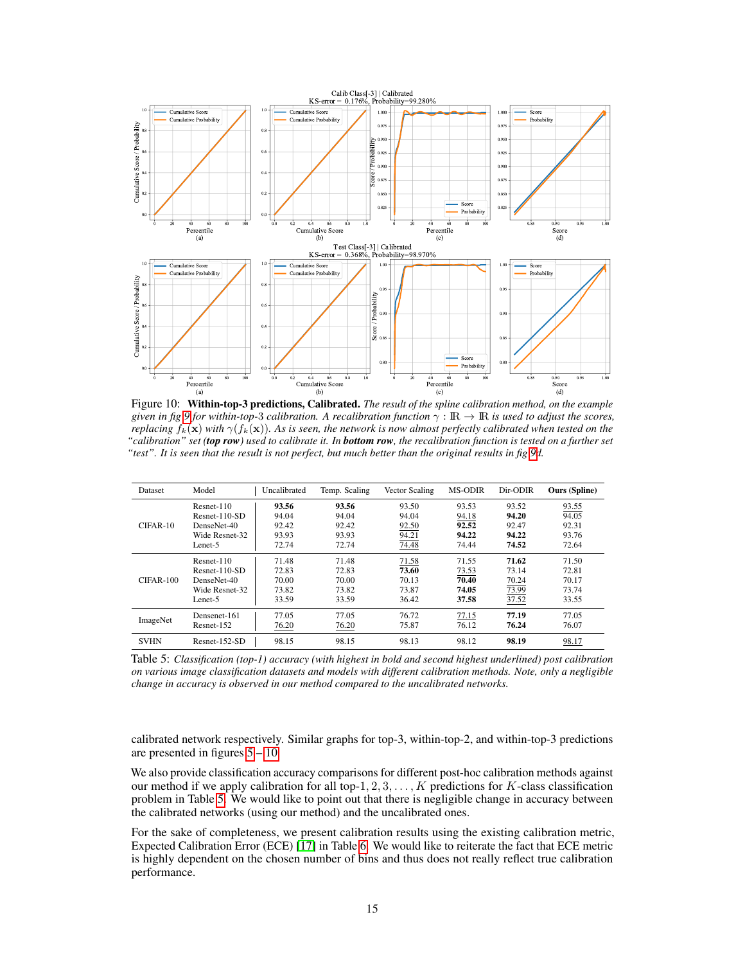

<span id="page-14-0"></span>Figure 10: Within-top-3 predictions, Calibrated. *The result of the spline calibration method, on the example given in fig* [9](#page-13-0) *for within-top-3 calibration. A recalibration function*  $\gamma : \mathbb{R} \to \mathbb{R}$  *is used to adjust the scores, replacing*  $f_k(\mathbf{x})$  *with*  $\gamma(f_k(\mathbf{x}))$ *. As is seen, the network is now almost perfectly calibrated when tested on the "calibration" set (top row) used to calibrate it. In bottom row, the recalibration function is tested on a further set "test". It is seen that the result is not perfect, but much better than the original results in fig [9d](#page-13-0).*

| Dataset     | Model           | Uncalibrated | Temp. Scaling | Vector Scaling | <b>MS-ODIR</b> | Dir-ODIR | <b>Ours</b> (Spline) |
|-------------|-----------------|--------------|---------------|----------------|----------------|----------|----------------------|
| CIFAR-10    | $Resnet-110$    | 93.56        | 93.56         | 93.50          | 93.53          | 93.52    | 93.55                |
|             | $Resnet-110-SD$ | 94.04        | 94.04         | 94.04          | 94.18          | 94.20    | 94.05                |
|             | DenseNet-40     | 92.42        | 92.42         | 92.50          | 92.52          | 92.47    | 92.31                |
|             | Wide Resnet-32  | 93.93        | 93.93         | 94.21          | 94.22          | 94.22    | 93.76                |
|             | Lenet-5         | 72.74        | 72.74         | 74.48          | 74.44          | 74.52    | 72.64                |
|             | $Resnet-110$    | 71.48        | 71.48         | 71.58          | 71.55          | 71.62    | 71.50                |
|             | $Resnet-110-SD$ | 72.83        | 72.83         | 73.60          | 73.53          | 73.14    | 72.81                |
| $CIFAR-100$ | DenseNet-40     | 70.00        | 70.00         | 70.13          | 70.40          | 70.24    | 70.17                |
|             | Wide Resnet-32  | 73.82        | 73.82         | 73.87          | 74.05          | 73.99    | 73.74                |
|             | Lenet-5         | 33.59        | 33.59         | 36.42          | 37.58          | 37.52    | 33.55                |
| ImageNet    | Densenet-161    | 77.05        | 77.05         | 76.72          | 77.15          | 77.19    | 77.05                |
|             | Resnet-152      | 76.20        | 76.20         | 75.87          | 76.12          | 76.24    | 76.07                |
| <b>SVHN</b> | $Resnet-152-SD$ | 98.15        | 98.15         | 98.13          | 98.12          | 98.19    | 98.17                |

<span id="page-14-1"></span>Table 5: *Classification (top-1) accuracy (with highest in bold and second highest underlined) post calibration on various image classification datasets and models with different calibration methods. Note, only a negligible change in accuracy is observed in our method compared to the uncalibrated networks.*

calibrated network respectively. Similar graphs for top-3, within-top-2, and within-top-3 predictions are presented in figures  $5 - 10$ .

We also provide classification accuracy comparisons for different post-hoc calibration methods against our method if we apply calibration for all top-1,  $2, 3, \ldots, K$  predictions for K-class classification problem in Table [5.](#page-14-1) We would like to point out that there is negligible change in accuracy between the calibrated networks (using our method) and the uncalibrated ones.

For the sake of completeness, we present calibration results using the existing calibration metric, Expected Calibration Error (ECE) [\[17\]](#page-16-1) in Table [6.](#page-15-12) We would like to reiterate the fact that ECE metric is highly dependent on the chosen number of bins and thus does not really reflect true calibration performance.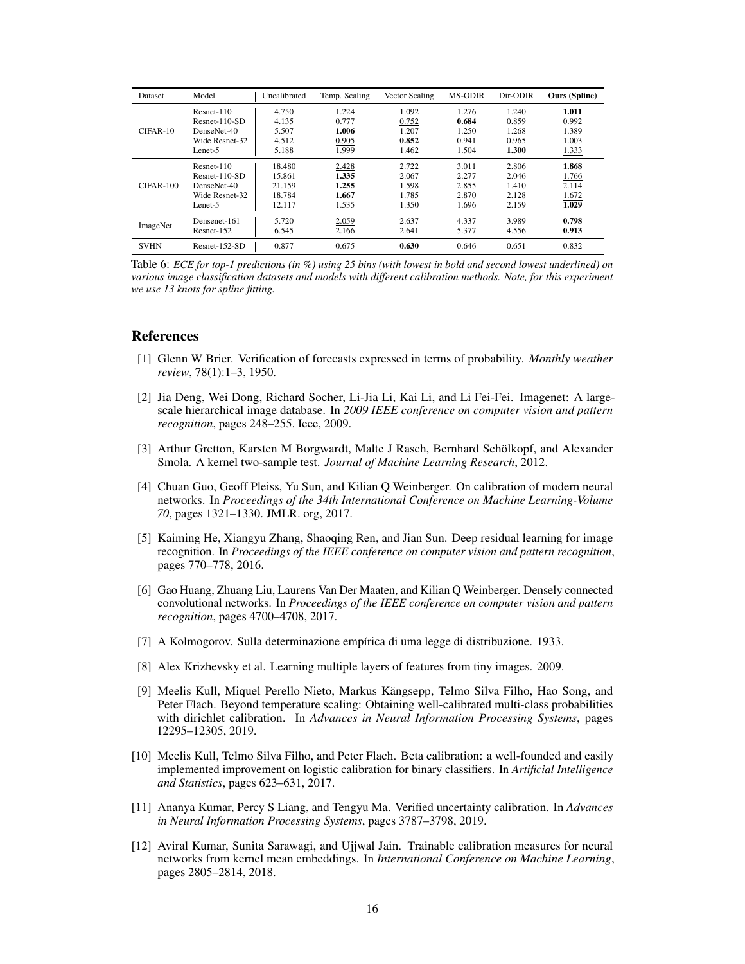| <b>Dataset</b> | Model           | Uncalibrated | Temp. Scaling | Vector Scaling | <b>MS-ODIR</b> | Dir-ODIR | <b>Ours</b> (Spline) |
|----------------|-----------------|--------------|---------------|----------------|----------------|----------|----------------------|
|                | Resnet-110      | 4.750        | 1.224         | 1.092          | 1.276          | 1.240    | 1.011                |
|                | $Resnet-110-SD$ | 4.135        | 0.777         | 0.752          | 0.684          | 0.859    | 0.992                |
| $CIFAR-10$     | DenseNet-40     | 5.507        | 1.006         | 1.207          | 1.250          | 1.268    | 1.389                |
|                | Wide Resnet-32  | 4.512        | 0.905         | 0.852          | 0.941          | 0.965    | 1.003                |
|                | Lenet-5         | 5.188        | 1.999         | 1.462          | 1.504          | 1.300    | 1.333                |
|                | Resnet-110      | 18.480       | 2.428         | 2.722          | 3.011          | 2.806    | 1.868                |
|                | $Resnet-110-SD$ | 15.861       | 1.335         | 2.067          | 2.277          | 2.046    | 1.766                |
| $CIFAR-100$    | DenseNet-40     | 21.159       | 1.255         | 1.598          | 2.855          | 1.410    | 2.114                |
|                | Wide Resnet-32  | 18.784       | 1.667         | 1.785          | 2.870          | 2.128    | 1.672                |
|                | Lenet-5         | 12.117       | 1.535         | 1.350          | 1.696          | 2.159    | 1.029                |
| ImageNet       | Densenet-161    | 5.720        | 2.059         | 2.637          | 4.337          | 3.989    | 0.798                |
|                | Resnet-152      | 6.545        | 2.166         | 2.641          | 5.377          | 4.556    | 0.913                |
| <b>SVHN</b>    | $Resnet-152-SD$ | 0.877        | 0.675         | 0.630          | 0.646          | 0.651    | 0.832                |

<span id="page-15-12"></span>Table 6: *ECE for top-1 predictions (in %) using 25 bins (with lowest in bold and second lowest underlined) on various image classification datasets and models with different calibration methods. Note, for this experiment we use 13 knots for spline fitting.*

#### References

- <span id="page-15-7"></span>[1] Glenn W Brier. Verification of forecasts expressed in terms of probability. *Monthly weather review*, 78(1):1–3, 1950.
- <span id="page-15-10"></span>[2] Jia Deng, Wei Dong, Richard Socher, Li-Jia Li, Kai Li, and Li Fei-Fei. Imagenet: A largescale hierarchical image database. In *2009 IEEE conference on computer vision and pattern recognition*, pages 248–255. Ieee, 2009.
- <span id="page-15-8"></span>[3] Arthur Gretton, Karsten M Borgwardt, Malte J Rasch, Bernhard Schölkopf, and Alexander Smola. A kernel two-sample test. *Journal of Machine Learning Research*, 2012.
- <span id="page-15-0"></span>[4] Chuan Guo, Geoff Pleiss, Yu Sun, and Kilian Q Weinberger. On calibration of modern neural networks. In *Proceedings of the 34th International Conference on Machine Learning-Volume 70*, pages 1321–1330. JMLR. org, 2017.
- <span id="page-15-11"></span>[5] Kaiming He, Xiangyu Zhang, Shaoqing Ren, and Jian Sun. Deep residual learning for image recognition. In *Proceedings of the IEEE conference on computer vision and pattern recognition*, pages 770–778, 2016.
- <span id="page-15-5"></span>[6] Gao Huang, Zhuang Liu, Laurens Van Der Maaten, and Kilian Q Weinberger. Densely connected convolutional networks. In *Proceedings of the IEEE conference on computer vision and pattern recognition*, pages 4700–4708, 2017.
- <span id="page-15-4"></span>[7] A Kolmogorov. Sulla determinazione empírica di uma legge di distribuzione. 1933.
- <span id="page-15-9"></span>[8] Alex Krizhevsky et al. Learning multiple layers of features from tiny images. 2009.
- <span id="page-15-1"></span>[9] Meelis Kull, Miquel Perello Nieto, Markus Kängsepp, Telmo Silva Filho, Hao Song, and Peter Flach. Beyond temperature scaling: Obtaining well-calibrated multi-class probabilities with dirichlet calibration. In *Advances in Neural Information Processing Systems*, pages 12295–12305, 2019.
- <span id="page-15-6"></span>[10] Meelis Kull, Telmo Silva Filho, and Peter Flach. Beta calibration: a well-founded and easily implemented improvement on logistic calibration for binary classifiers. In *Artificial Intelligence and Statistics*, pages 623–631, 2017.
- <span id="page-15-2"></span>[11] Ananya Kumar, Percy S Liang, and Tengyu Ma. Verified uncertainty calibration. In *Advances in Neural Information Processing Systems*, pages 3787–3798, 2019.
- <span id="page-15-3"></span>[12] Aviral Kumar, Sunita Sarawagi, and Ujjwal Jain. Trainable calibration measures for neural networks from kernel mean embeddings. In *International Conference on Machine Learning*, pages 2805–2814, 2018.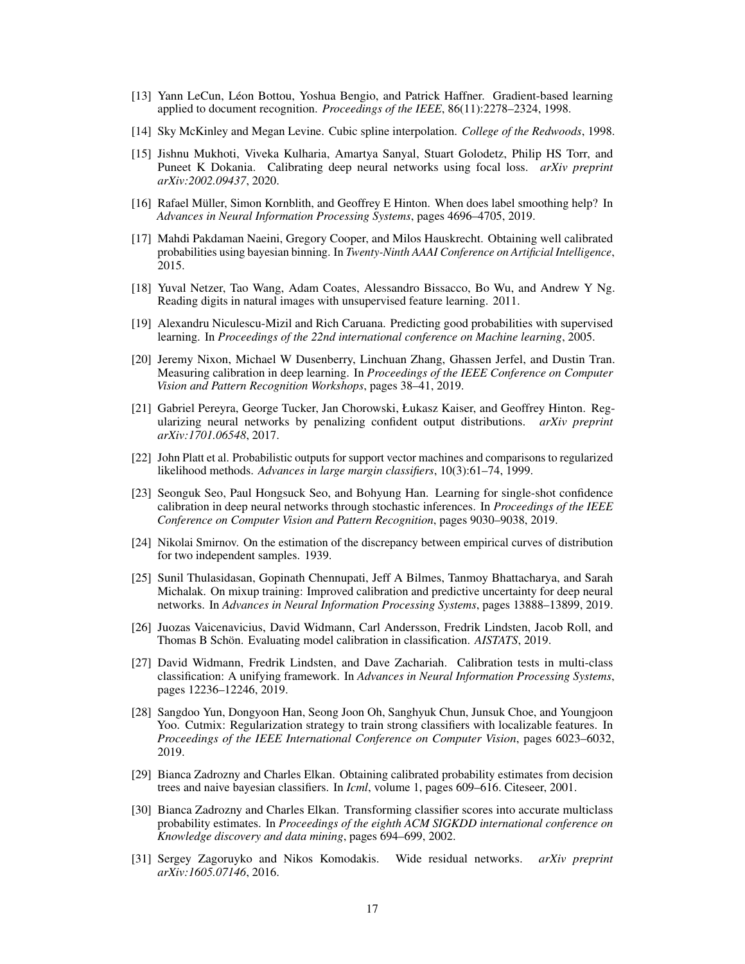- <span id="page-16-17"></span>[13] Yann LeCun, Léon Bottou, Yoshua Bengio, and Patrick Haffner. Gradient-based learning applied to document recognition. *Proceedings of the IEEE*, 86(11):2278–2324, 1998.
- <span id="page-16-5"></span>[14] Sky McKinley and Megan Levine. Cubic spline interpolation. *College of the Redwoods*, 1998.
- <span id="page-16-6"></span>[15] Jishnu Mukhoti, Viveka Kulharia, Amartya Sanyal, Stuart Golodetz, Philip HS Torr, and Puneet K Dokania. Calibrating deep neural networks using focal loss. *arXiv preprint arXiv:2002.09437*, 2020.
- <span id="page-16-0"></span>[16] Rafael Müller, Simon Kornblith, and Geoffrey E Hinton. When does label smoothing help? In *Advances in Neural Information Processing Systems*, pages 4696–4705, 2019.
- <span id="page-16-1"></span>[17] Mahdi Pakdaman Naeini, Gregory Cooper, and Milos Hauskrecht. Obtaining well calibrated probabilities using bayesian binning. In *Twenty-Ninth AAAI Conference on Artificial Intelligence*, 2015.
- <span id="page-16-16"></span>[18] Yuval Netzer, Tao Wang, Adam Coates, Alessandro Bissacco, Bo Wu, and Andrew Y Ng. Reading digits in natural images with unsupervised feature learning. 2011.
- <span id="page-16-4"></span>[19] Alexandru Niculescu-Mizil and Rich Caruana. Predicting good probabilities with supervised learning. In *Proceedings of the 22nd international conference on Machine learning*, 2005.
- <span id="page-16-2"></span>[20] Jeremy Nixon, Michael W Dusenberry, Linchuan Zhang, Ghassen Jerfel, and Dustin Tran. Measuring calibration in deep learning. In *Proceedings of the IEEE Conference on Computer Vision and Pattern Recognition Workshops*, pages 38–41, 2019.
- <span id="page-16-9"></span>[21] Gabriel Pereyra, George Tucker, Jan Chorowski, Łukasz Kaiser, and Geoffrey Hinton. Regularizing neural networks by penalizing confident output distributions. *arXiv preprint arXiv:1701.06548*, 2017.
- <span id="page-16-12"></span>[22] John Platt et al. Probabilistic outputs for support vector machines and comparisons to regularized likelihood methods. *Advances in large margin classifiers*, 10(3):61–74, 1999.
- <span id="page-16-8"></span>[23] Seonguk Seo, Paul Hongsuck Seo, and Bohyung Han. Learning for single-shot confidence calibration in deep neural networks through stochastic inferences. In *Proceedings of the IEEE Conference on Computer Vision and Pattern Recognition*, pages 9030–9038, 2019.
- <span id="page-16-3"></span>[24] Nikolai Smirnov. On the estimation of the discrepancy between empirical curves of distribution for two independent samples. 1939.
- <span id="page-16-10"></span>[25] Sunil Thulasidasan, Gopinath Chennupati, Jeff A Bilmes, Tanmoy Bhattacharya, and Sarah Michalak. On mixup training: Improved calibration and predictive uncertainty for deep neural networks. In *Advances in Neural Information Processing Systems*, pages 13888–13899, 2019.
- <span id="page-16-14"></span>[26] Juozas Vaicenavicius, David Widmann, Carl Andersson, Fredrik Lindsten, Jacob Roll, and Thomas B Schön. Evaluating model calibration in classification. *AISTATS*, 2019.
- <span id="page-16-15"></span>[27] David Widmann, Fredrik Lindsten, and Dave Zachariah. Calibration tests in multi-class classification: A unifying framework. In *Advances in Neural Information Processing Systems*, pages 12236–12246, 2019.
- <span id="page-16-11"></span>[28] Sangdoo Yun, Dongyoon Han, Seong Joon Oh, Sanghyuk Chun, Junsuk Choe, and Youngjoon Yoo. Cutmix: Regularization strategy to train strong classifiers with localizable features. In *Proceedings of the IEEE International Conference on Computer Vision*, pages 6023–6032, 2019.
- <span id="page-16-13"></span>[29] Bianca Zadrozny and Charles Elkan. Obtaining calibrated probability estimates from decision trees and naive bayesian classifiers. In *Icml*, volume 1, pages 609–616. Citeseer, 2001.
- <span id="page-16-7"></span>[30] Bianca Zadrozny and Charles Elkan. Transforming classifier scores into accurate multiclass probability estimates. In *Proceedings of the eighth ACM SIGKDD international conference on Knowledge discovery and data mining*, pages 694–699, 2002.
- <span id="page-16-18"></span>[31] Sergey Zagoruyko and Nikos Komodakis. Wide residual networks. *arXiv preprint arXiv:1605.07146*, 2016.